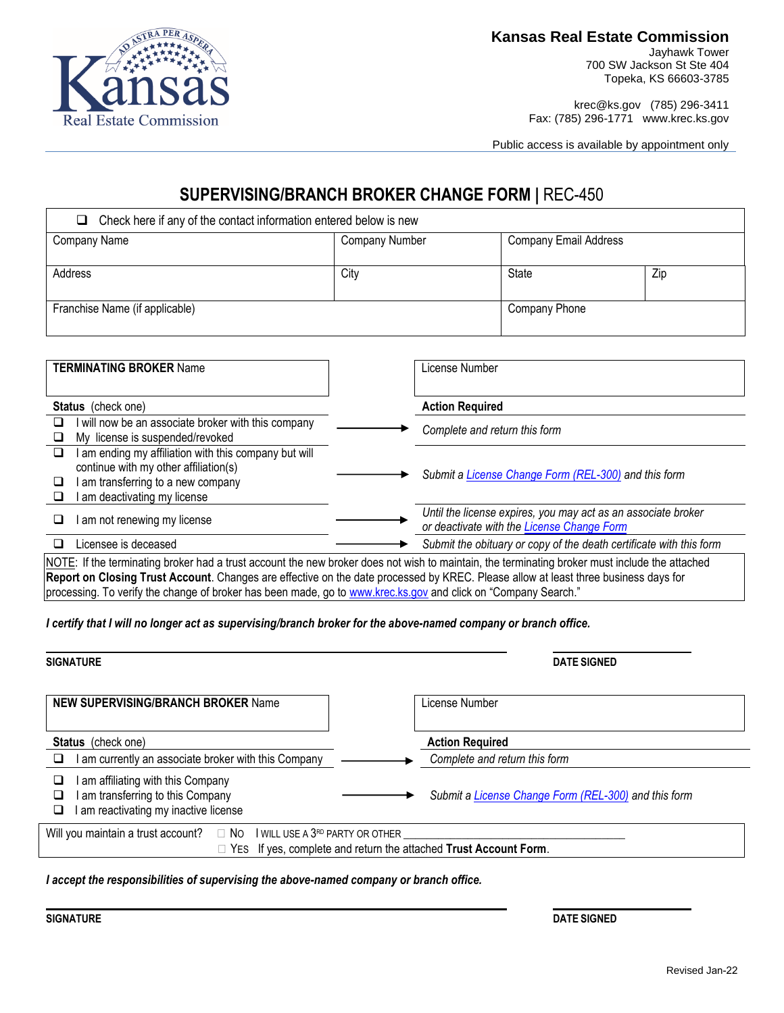

**Kansas Real Estate Commission**

Jayhawk Tower 700 SW Jackson St Ste 404 Topeka, KS 66603-3785

krec@ks.gov (785) 296-3411 Fax: (785) 296-1771 www.krec.ks.gov

Public access is available by appointment only

### **SUPERVISING/BRANCH BROKER CHANGE FORM |** REC-450

| Check here if any of the contact information entered below is new<br>ப |                |                              |     |  |
|------------------------------------------------------------------------|----------------|------------------------------|-----|--|
| Company Name                                                           | Company Number | <b>Company Email Address</b> |     |  |
|                                                                        |                |                              |     |  |
| Address                                                                | City           | State                        | Zip |  |
|                                                                        |                |                              |     |  |
| Franchise Name (if applicable)                                         | Company Phone  |                              |     |  |
|                                                                        |                |                              |     |  |

| <b>TERMINATING BROKER Name</b>                                                                                                                                           | License Number                                                                                                                                 |
|--------------------------------------------------------------------------------------------------------------------------------------------------------------------------|------------------------------------------------------------------------------------------------------------------------------------------------|
|                                                                                                                                                                          |                                                                                                                                                |
| <b>Status</b> (check one)                                                                                                                                                | <b>Action Required</b>                                                                                                                         |
| will now be an associate broker with this company<br>⊔<br>My license is suspended/revoked                                                                                | Complete and return this form                                                                                                                  |
| am ending my affiliation with this company but will<br>❏<br>continue with my other affiliation(s)<br>am transferring to a new company<br>⊔<br>am deactivating my license | Submit a License Change Form (REL-300) and this form                                                                                           |
| am not renewing my license<br>ப                                                                                                                                          | Until the license expires, you may act as an associate broker<br>or deactivate with the License Change Form                                    |
| Licensee is deceased<br>u                                                                                                                                                | Submit the obituary or copy of the death certificate with this form                                                                            |
| Report on Closing Trust Account. Changes are effective on the date processed by KREC. Please allow at least three business days for                                      | NOTE: If the terminating broker had a trust account the new broker does not wish to maintain, the terminating broker must include the attached |

processing. To verify the change of broker has been made, go to [www.krec.ks.gov](http://www.krec.ks.gov/) and click on "Company Search."

*I certify that I will no longer act as supervising/branch broker for the above-named company or branch office.*

| <b>SIGNATURE</b>                                                                                                          | <b>DATE SIGNED</b>                                                      |
|---------------------------------------------------------------------------------------------------------------------------|-------------------------------------------------------------------------|
| <b>NEW SUPERVISING/BRANCH BROKER Name</b>                                                                                 | License Number                                                          |
| <b>Status</b> (check one)<br>I am currently an associate broker with this Company                                         | <b>Action Required</b><br>Complete and return this form                 |
| am affiliating with this Company<br>⊔<br>am transferring to this Company<br>ப<br>am reactivating my inactive license<br>⊔ | Submit a <i>License Change Form (REL-300)</i> and this form             |
| Will you maintain a trust account?<br>$\Box$ No I will use a 3 <sup>rd</sup> party or other                               | $\Box$ YES If yes, complete and return the attached Trust Account Form. |

*I accept the responsibilities of supervising the above-named company or branch office.*

**SIGNATURE DATE SIGNED**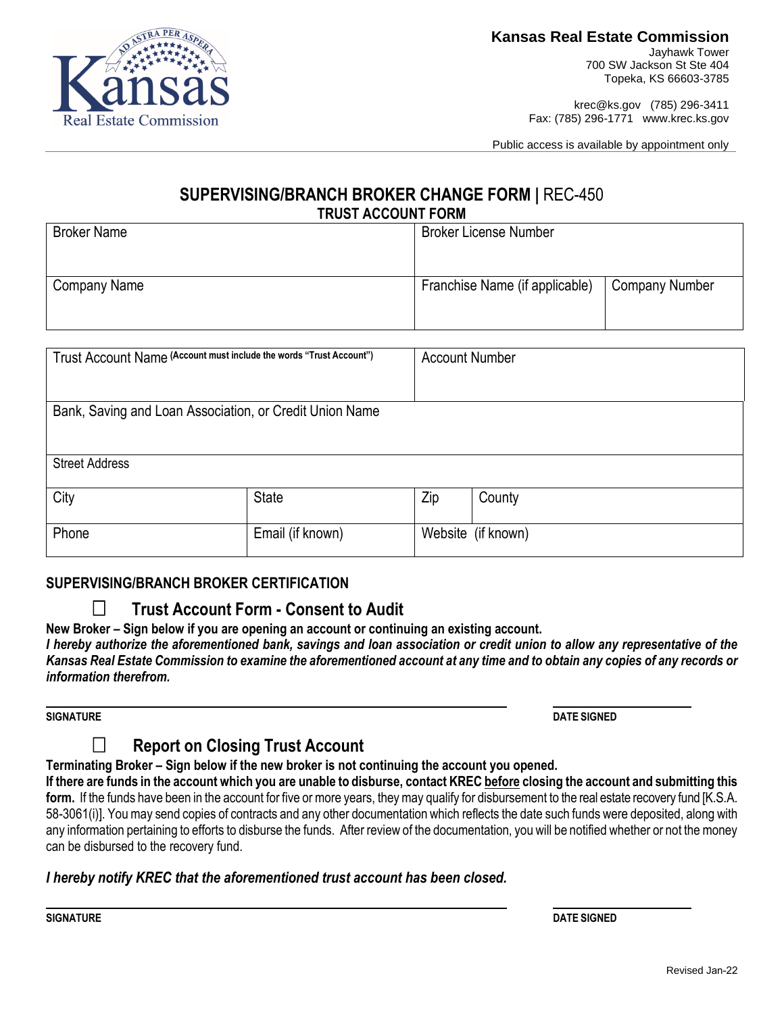

### **Kansas Real Estate Commission**

Jayhawk Tower 700 SW Jackson St Ste 404 Topeka, KS 66603-3785

krec@ks.gov (785) 296-3411 Fax: (785) 296-1771 www.krec.ks.gov

Public access is available by appointment only

#### **SUPERVISING/BRANCH BROKER CHANGE FORM |** REC-450 **TRUST ACCOUNT FORM**

| <b>Broker Name</b> | <b>Broker License Number</b>   |                       |
|--------------------|--------------------------------|-----------------------|
| Company Name       | Franchise Name (if applicable) | <b>Company Number</b> |
|                    |                                |                       |

| Trust Account Name (Account must include the words "Trust Account") |                  | <b>Account Number</b> |                    |
|---------------------------------------------------------------------|------------------|-----------------------|--------------------|
|                                                                     |                  |                       |                    |
| Bank, Saving and Loan Association, or Credit Union Name             |                  |                       |                    |
|                                                                     |                  |                       |                    |
| <b>Street Address</b>                                               |                  |                       |                    |
| City                                                                | <b>State</b>     | Zip                   | County             |
|                                                                     |                  |                       |                    |
| Phone                                                               | Email (if known) |                       | Website (if known) |
|                                                                     |                  |                       |                    |

#### **SUPERVISING/BRANCH BROKER CERTIFICATION**

### **Trust Account Form - Consent to Audit**

**New Broker – Sign below if you are opening an account or continuing an existing account.**

*I hereby authorize the aforementioned bank, savings and loan association or credit union to allow any representative of the Kansas Real Estate Commission to examine the aforementioned account at any time and to obtain any copies of any records or information therefrom.*

**SIGNATURE DATE SIGNED**

## **Report on Closing Trust Account**

#### **Terminating Broker – Sign below if the new broker is not continuing the account you opened.**

**If there are funds in the account which you are unable to disburse, contact KREC before closing the account and submitting this form.** If the funds have been in the account for five or more years, they may qualify for disbursement to the real estate recovery fund [K.S.A. 58-3061(i)]. You may send copies of contracts and any other documentation which reflects the date such funds were deposited, along with any information pertaining to efforts to disburse the funds.After review of the documentation, you will be notified whether or not the money can be disbursed to the recovery fund.

#### *I hereby notify KREC that the aforementioned trust account has been closed.*